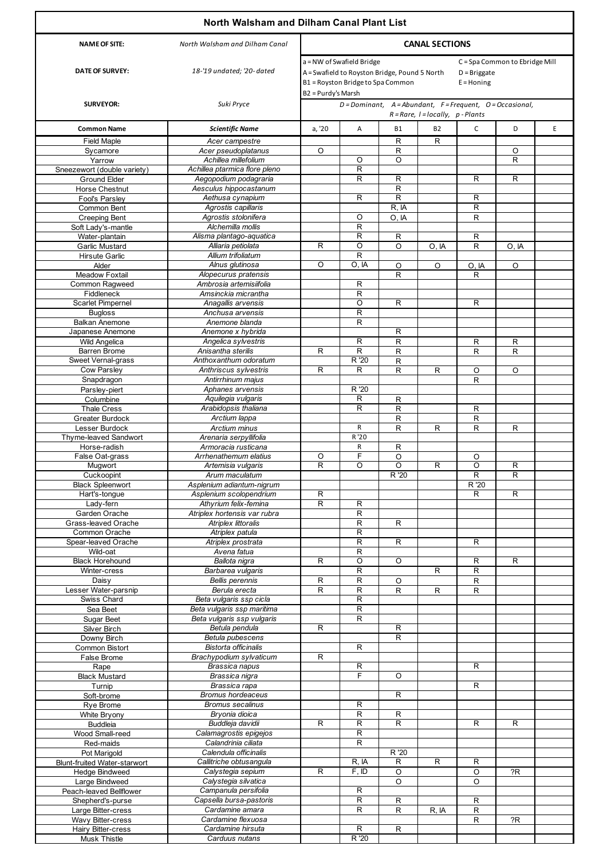|                                           | North Walsham and Dilham Canal Plant List                  |                                                                                                                                                                                                           |                              |                         |              |                     |                              |   |
|-------------------------------------------|------------------------------------------------------------|-----------------------------------------------------------------------------------------------------------------------------------------------------------------------------------------------------------|------------------------------|-------------------------|--------------|---------------------|------------------------------|---|
| <b>NAME OF SITE:</b>                      | <b>CANAL SECTIONS</b><br>North Walsham and Dilham Canal    |                                                                                                                                                                                                           |                              |                         |              |                     |                              |   |
| <b>DATE OF SURVEY:</b>                    | 18-'19 undated; '20- dated                                 | a = NW of Swafield Bridge<br>C = Spa Common to Ebridge Mill<br>A = Swafield to Royston Bridge, Pound 5 North<br>$D =$ Briggate<br>B1 = Royston Bridge to Spa Common<br>$E =$ Honing<br>B2 = Purdy's Marsh |                              |                         |              |                     |                              |   |
| <b>SURVEYOR:</b>                          | Suki Pryce                                                 | $D =$ Dominant, A=Abundant, F=Frequent, O=Occasional,<br>$R = Rare, I = locally, p - Plants$                                                                                                              |                              |                         |              |                     |                              |   |
| <b>Common Name</b>                        | <b>Scientific Name</b>                                     | a, '20                                                                                                                                                                                                    | Α                            | <b>B1</b>               | B2           | $\mathsf{C}$        | D                            | E |
| <b>Field Maple</b>                        | Acer campestre                                             |                                                                                                                                                                                                           |                              | R                       | R            |                     |                              |   |
| Sycamore<br>Yarrow                        | Acer pseudoplatanus<br>Achillea millefolium                | $\circ$                                                                                                                                                                                                   | O                            | R<br>O                  |              |                     | O<br>$\overline{\mathsf{R}}$ |   |
| Sneezewort (double variety)               | Achillea ptarmica flore pleno                              |                                                                                                                                                                                                           | $\overline{\mathsf{R}}$      |                         |              |                     |                              |   |
| Ground Elder                              | Aegopodium podagraria                                      |                                                                                                                                                                                                           | R                            | R                       |              | R                   | R                            |   |
| Horse Chestnut                            | Aesculus hippocastanum                                     |                                                                                                                                                                                                           |                              | $\mathsf{R}$<br>R       |              |                     |                              |   |
| Fool's Parsley<br>Common Bent             | Aethusa cynapium<br>Agrostis capillaris                    |                                                                                                                                                                                                           | R                            | R, IA                   |              | R<br>R              |                              |   |
| <b>Creeping Bent</b>                      | Agrostis stolonifera                                       |                                                                                                                                                                                                           | O                            | O, IA                   |              | $\mathsf{R}$        |                              |   |
| Soft Lady's-mantle                        | Alchemilla mollis                                          |                                                                                                                                                                                                           | R                            |                         |              |                     |                              |   |
| Water-plantain                            | Alisma plantago-aquatica<br>Alliaria petiolata             |                                                                                                                                                                                                           | $\mathsf R$<br>O             | R                       |              | R                   |                              |   |
| Garlic Mustard<br><b>Hirsute Garlic</b>   | Allium trifoliatum                                         | R                                                                                                                                                                                                         | R                            | O                       | O, IA        | R                   | O, IA                        |   |
| Alder                                     | Alnus glutinosa                                            | $\circ$                                                                                                                                                                                                   | O. IA                        | O                       | O            | O, IA               | $\circ$                      |   |
| <b>Meadow Foxtail</b>                     | Alopecurus pratensis                                       |                                                                                                                                                                                                           |                              | R                       |              | R                   |                              |   |
| Common Ragweed<br>Fiddleneck              | Ambrosia artemisiifolia<br>Amsinckia micrantha             |                                                                                                                                                                                                           | R<br>R                       |                         |              |                     |                              |   |
| <b>Scarlet Pimpernel</b>                  | Anagallis arvensis                                         |                                                                                                                                                                                                           | O                            | R                       |              | R                   |                              |   |
| <b>Bugloss</b>                            | Anchusa arvensis                                           |                                                                                                                                                                                                           | $\mathsf R$                  |                         |              |                     |                              |   |
| Balkan Anemone                            | Anemone blanda                                             |                                                                                                                                                                                                           | R                            |                         |              |                     |                              |   |
| Japanese Anemone<br><b>Wild Angelica</b>  | Anemone x hybrida<br>Angelica sylvestris                   |                                                                                                                                                                                                           | $\mathsf R$                  | R<br>$\mathsf{R}$       |              | R                   | R                            |   |
| <b>Barren Brome</b>                       | Anisantha sterilis                                         | R                                                                                                                                                                                                         | $\overline{\mathsf{R}}$      | $\mathsf R$             |              | R.                  | $\mathsf{R}$                 |   |
| Sweet Vernal-grass                        | Anthoxanthum odoratum                                      |                                                                                                                                                                                                           | R '20                        | R                       |              |                     |                              |   |
| <b>Cow Parsley</b>                        | Anthriscus sylvestris                                      | R                                                                                                                                                                                                         | R                            | R                       | R            | O                   | $\Omega$                     |   |
| Snapdragon<br>Parsley-piert               | Antirrhinum majus<br>Aphanes arvensis                      |                                                                                                                                                                                                           | R '20                        |                         |              | R                   |                              |   |
| Columbine                                 | Aquilegia vulgaris                                         |                                                                                                                                                                                                           | R                            | R                       |              |                     |                              |   |
| <b>Thale Cress</b>                        | Arabidopsis thaliana                                       |                                                                                                                                                                                                           | R                            | R                       |              | R                   |                              |   |
| <b>Greater Burdock</b>                    | Arctium lappa                                              |                                                                                                                                                                                                           |                              | R                       |              | R                   |                              |   |
| Lesser Burdock<br>Thyme-leaved Sandwort   | Arctium minus<br>Arenaria serpyllifolia                    |                                                                                                                                                                                                           | R<br>R '20                   | R                       | R            | R                   | $\mathsf{R}$                 |   |
| Horse-radish                              | Armoracia rusticana                                        |                                                                                                                                                                                                           | R                            | R                       |              |                     |                              |   |
| False Oat-grass                           | Arrhenathemum elatius                                      | O                                                                                                                                                                                                         | F                            | O                       |              | O                   |                              |   |
| <b>Muawort</b><br>Cuckoopint              | Artemisia vulgaris<br>Arum maculatum                       | R                                                                                                                                                                                                         | O                            | O<br>R '20              | R            | O<br>$\overline{R}$ | R<br>$\mathsf{R}$            |   |
| <b>Black Spleenwort</b>                   | Asplenium adiantum-nigrum                                  |                                                                                                                                                                                                           |                              |                         |              | R '20               |                              |   |
| Hart's-tongue                             | Asplenium scolopendrium                                    | R                                                                                                                                                                                                         |                              |                         |              | R                   | $\mathsf{R}$                 |   |
| Lady-fern                                 | Athyrium felix-femina                                      | R                                                                                                                                                                                                         | R                            |                         |              |                     |                              |   |
| Garden Orache<br>Grass-leaved Orache      | Atriplex hortensis var rubra<br><b>Atriplex littoralis</b> |                                                                                                                                                                                                           | R<br>$\overline{R}$          | R                       |              |                     |                              |   |
| Common Orache                             | Atriplex patula                                            |                                                                                                                                                                                                           | R                            |                         |              |                     |                              |   |
| Spear-leaved Orache                       | Atriplex prostrata                                         |                                                                                                                                                                                                           | $\mathsf R$                  | R                       |              | R                   |                              |   |
| Wild-oat<br><b>Black Horehound</b>        | Avena fatua<br>Ballota nigra                               | R                                                                                                                                                                                                         | R<br>O                       | O                       |              | R                   | $\mathsf{R}$                 |   |
| Winter-cress                              | Barbarea vulgaris                                          |                                                                                                                                                                                                           | $\mathsf R$                  |                         | R            | $\overline{R}$      |                              |   |
| Daisy                                     | <b>Bellis</b> perennis                                     | R                                                                                                                                                                                                         | $\overline{R}$               | O                       |              | R                   |                              |   |
| Lesser Water-parsnip                      | Berula erecta                                              | R                                                                                                                                                                                                         | $\overline{\mathsf{R}}$      | $\mathsf R$             | R            | $\mathsf{R}$        |                              |   |
| Swiss Chard<br>Sea Beet                   | Beta vulgaris ssp cicla<br>Beta vulgaris ssp maritima      |                                                                                                                                                                                                           | R<br>$\overline{\mathsf{R}}$ |                         |              |                     |                              |   |
| Sugar Beet                                | Beta vulgaris ssp vulgaris                                 |                                                                                                                                                                                                           | R                            |                         |              |                     |                              |   |
| Silver Birch                              | Betula pendula                                             | R                                                                                                                                                                                                         |                              | R                       |              |                     |                              |   |
| Downy Birch                               | Betula pubescens                                           |                                                                                                                                                                                                           | R                            | $\overline{\mathsf{R}}$ |              |                     |                              |   |
| Common Bistort<br>False Brome             | Bistorta officinalis<br>Brachypodium sylvaticum            | R                                                                                                                                                                                                         |                              |                         |              |                     |                              |   |
| Rape                                      | Brassica napus                                             |                                                                                                                                                                                                           | $\overline{R}$               |                         |              | R                   |                              |   |
| <b>Black Mustard</b>                      | Brassica nigra                                             |                                                                                                                                                                                                           | F                            | O                       |              |                     |                              |   |
| Turnip<br>Soft-brome                      | Brassica rapa<br><b>Bromus hordeaceus</b>                  |                                                                                                                                                                                                           |                              | R                       |              | $\overline{R}$      |                              |   |
| Rye Brome                                 | <b>Bromus secalinus</b>                                    |                                                                                                                                                                                                           | R                            |                         |              |                     |                              |   |
| White Bryony                              | Bryonia dioica                                             |                                                                                                                                                                                                           | R                            | R                       |              |                     |                              |   |
| <b>Buddleia</b>                           | Buddleja davidii                                           | R                                                                                                                                                                                                         | $\mathsf R$                  | $\mathsf R$             |              | R                   | $\mathsf{R}$                 |   |
| Wood Small-reed<br>Red-maids              | Calamagrostis epigejos<br>Calandrinia ciliata              |                                                                                                                                                                                                           | R<br>$\mathsf R$             |                         |              |                     |                              |   |
| Pot Marigold                              | Calendula officinalis                                      |                                                                                                                                                                                                           |                              | R '20                   |              |                     |                              |   |
| <b>Blunt-fruited Water-starwort</b>       | Callitriche obtusangula                                    |                                                                                                                                                                                                           | R, IA                        | $\mathsf R$             | $\mathsf{R}$ | R                   |                              |   |
| <b>Hedge Bindweed</b>                     | Calystegia sepium                                          | R                                                                                                                                                                                                         | F, ID                        | O                       |              | O                   | ?R                           |   |
| Large Bindweed<br>Peach-leaved Bellflower | Calystegia silvatica<br>Campanula persifolia               |                                                                                                                                                                                                           | $\mathsf R$                  | O                       |              | O                   |                              |   |
| Shepherd's-purse                          | Capsella bursa-pastoris                                    |                                                                                                                                                                                                           | R                            | R                       |              | R                   |                              |   |
| Large Bitter-cress                        | Cardamine amara                                            |                                                                                                                                                                                                           | $\mathsf R$                  | R                       | R, IA        | R                   |                              |   |
| Wavy Bitter-cress<br>Hairy Bitter-cress   | Cardamine flexuosa<br>Cardamine hirsuta                    |                                                                                                                                                                                                           | R                            | R                       |              | R                   | R                            |   |
| <b>Musk Thistle</b>                       | Carduus nutans                                             |                                                                                                                                                                                                           | R'20                         |                         |              |                     |                              |   |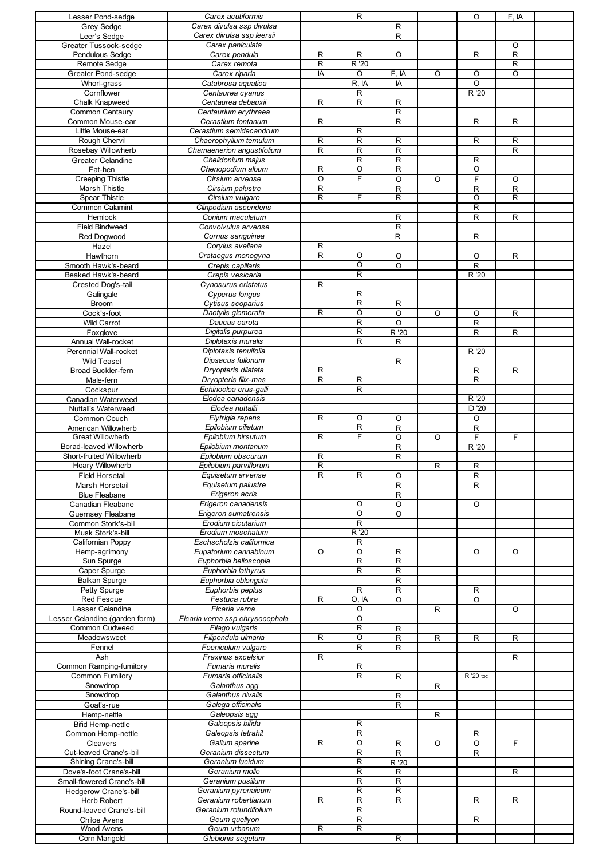| Lesser Pond-sedge                                | Carex acutiformis                                  |                | R                       |                             |              | O              | F, IA               |  |
|--------------------------------------------------|----------------------------------------------------|----------------|-------------------------|-----------------------------|--------------|----------------|---------------------|--|
| Grey Sedge                                       | Carex divulsa ssp divulsa                          |                |                         | R                           |              |                |                     |  |
| Leer's Sedge                                     | Carex divulsa ssp leersii<br>Carex paniculata      |                |                         | R                           |              |                |                     |  |
| Greater Tussock-sedge<br>Pendulous Sedge         | Carex pendula                                      | $\mathsf R$    | R                       | $\circ$                     |              | R              | O<br>$\overline{R}$ |  |
| Remote Sedge                                     | Carex remota                                       | R              | R'20                    |                             |              |                | $\mathsf{R}$        |  |
| Greater Pond-sedge                               | Carex riparia                                      | IA             | O                       | F, IA                       | O            | O              | $\circ$             |  |
| Whorl-grass                                      | Catabrosa aquatica                                 |                | R, IA                   | IA                          |              | $\circ$        |                     |  |
| Cornflower                                       | Centaurea cyanus                                   |                | R                       |                             |              | R '20          |                     |  |
| Chalk Knapweed                                   | Centaurea debauxii                                 | R              | $\overline{R}$          | R                           |              |                |                     |  |
| Common Centaury                                  | Centaurium erythraea                               |                |                         | $\overline{R}$              |              |                |                     |  |
| Common Mouse-ear<br>Little Mouse-ear             | Cerastium fontanum<br>Cerastium semidecandrum      | R              | $\overline{R}$          | $\overline{\mathsf{R}}$     |              | R.             | $\mathsf{R}$        |  |
| Rough Chervil                                    | Chaerophyllum temulum                              | R              | $\overline{R}$          | R                           |              | R              | R                   |  |
| Rosebay Willowherb                               | Chamaenerion angustifolium                         | R              | R                       | $\overline{\mathsf{R}}$     |              |                | R                   |  |
| <b>Greater Celandine</b>                         | Chelidonium majus                                  |                | $\overline{\mathsf{R}}$ | R                           |              | R              |                     |  |
| Fat-hen                                          | Chenopodium album                                  | R              | $\overline{\rm o}$      | $\overline{R}$              |              | O              |                     |  |
| <b>Creeping Thistle</b>                          | Cirsium arvense                                    | $\circ$        | F                       | O                           | O            | F              | $\circ$             |  |
| Marsh Thistle                                    | Cirsium palustre                                   | R              |                         | R                           |              | R              | $\mathsf{R}$        |  |
| Spear Thistle                                    | Cirsium vulgare                                    | $\overline{R}$ | F                       | $\overline{\mathsf{R}}$     |              | O              | R                   |  |
| Common Calamint                                  | Clinpodium ascendens                               |                |                         |                             |              | R              |                     |  |
| Hemlock                                          | Conium maculatum<br>Convolvulus arvense            |                |                         | R                           |              | $\overline{R}$ | R                   |  |
| <b>Field Bindweed</b>                            |                                                    |                |                         | $\overline{R}$<br>${\sf R}$ |              | $\mathsf{R}$   |                     |  |
| Red Dogwood<br>Hazel                             | Cornus sanguinea<br>Corylus avellana               | R              |                         |                             |              |                |                     |  |
| Hawthorn                                         | Crataegus monogyna                                 | $\overline{R}$ | O                       | O                           |              | O              | $\mathsf{R}$        |  |
| Smooth Hawk's-beard                              | Crepis capillaris                                  |                | O                       | O                           |              | R              |                     |  |
| Beaked Hawk's-beard                              | Crepis vesicaria                                   |                | R                       |                             |              | R '20          |                     |  |
| Crested Dog's-tail                               | Cynosurus cristatus                                | R              |                         |                             |              |                |                     |  |
| Galingale                                        | Cyperus longus                                     |                | R                       |                             |              |                |                     |  |
| Broom                                            | Cytisus scoparius                                  |                | R                       | R                           |              |                |                     |  |
| Cock's-foot                                      | Dactylis glomerata                                 | $\mathsf R$    | O                       | O                           | O            | O              | $\mathsf{R}$        |  |
| <b>Wild Carrot</b>                               | Daucus carota                                      |                | $\overline{R}$          | O                           |              | R              |                     |  |
| Foxglove                                         | Digitalis purpurea<br>Diplotaxis muralis           |                | R<br>R                  | R '20                       |              | $\mathsf{R}$   | R                   |  |
| Annual Wall-rocket<br>Perennial Wall-rocket      | Diplotaxis tenuifolia                              |                |                         | R                           |              | R '20          |                     |  |
| <b>Wild Teasel</b>                               | Dipsacus fullonum                                  |                |                         | R                           |              |                |                     |  |
| Broad Buckler-fern                               | Dryopteris dilatata                                | $\mathsf R$    |                         |                             |              | ${\sf R}$      | R                   |  |
| Male-fern                                        | Dryopteris filix-mas                               | R              | $\mathsf R$             |                             |              | R              |                     |  |
| Cockspur                                         | Echinocloa crus-galli                              |                | $\overline{\mathsf{R}}$ |                             |              |                |                     |  |
| Canadian Waterweed                               | Elodea canadensis                                  |                |                         |                             |              | R '20          |                     |  |
| Nuttall's Waterweed                              | Elodea nuttallii                                   |                |                         |                             |              | <b>ID</b> '20  |                     |  |
| Common Couch                                     | Elytrigia repens                                   | $\mathsf R$    | O                       | O                           |              | $\circ$        |                     |  |
| American Willowherb<br><b>Great Willowherb</b>   | Epilobium ciliatum<br>Epilobium hirsutum           | R              | $\overline{R}$<br>F     | $\mathsf R$<br>O            | O            | R<br>F         | F                   |  |
| Borad-leaved Willowherb                          | Epilobium montanum                                 |                |                         | $\mathsf R$                 |              | R '20          |                     |  |
| Short-fruited Willowherb                         | Epilobium obscurum                                 | $\mathsf R$    |                         | R                           |              |                |                     |  |
| Hoary Willowherb                                 | Epilobium parviflorum                              | $\mathsf R$    |                         |                             | $\mathsf{R}$ | R              |                     |  |
| <b>Field Horsetail</b>                           | Equisetum arvense                                  | R              | R                       | O                           |              | R              |                     |  |
| Marsh Horsetail                                  | Equisetum palustre                                 |                |                         | R                           |              | $\mathsf{R}$   |                     |  |
| <b>Blue Fleabane</b>                             | Erigeron acris                                     |                |                         | R                           |              |                |                     |  |
| Canadian Fleabane                                | Erigeron canadensis                                |                | O                       | O                           |              | O              |                     |  |
| <b>Guernsey Fleabane</b>                         | Erigeron sumatrensis                               |                | O                       | O                           |              |                |                     |  |
| Common Stork's-bill                              | Erodium cicutarium                                 |                | R<br>R '20              |                             |              |                |                     |  |
| Musk Stork's-bill<br>Californian Poppy           | Erodium moschatum<br>Eschscholzia californica      |                | $\mathsf{R}$            |                             |              |                |                     |  |
| Hemp-agrimony                                    | Eupatorium cannabinum                              | O              | O                       | R                           |              | O              | O                   |  |
| Sun Spurge                                       | Euphorbia helioscopia                              |                | R                       | $\overline{R}$              |              |                |                     |  |
| Caper Spurge                                     | Euphorbia lathyrus                                 |                | R                       | R                           |              |                |                     |  |
| <b>Balkan Spurge</b>                             | Euphorbia oblongata                                |                |                         | $\overline{R}$              |              |                |                     |  |
| Petty Spurge                                     | Euphorbia peplus                                   |                | R                       | $\overline{R}$              |              | R              |                     |  |
| <b>Red Fescue</b>                                | Festuca rubra                                      | R              | O, IA                   | O                           |              | O              |                     |  |
| Lesser Celandine                                 | Ficaria verna                                      |                | $\overline{\circ}$      |                             | R            |                | O                   |  |
| Lesser Celandine (garden form)<br>Common Cudweed | Ficaria verna ssp chrysocephala<br>Filago vulgaris |                | O<br>$\overline{R}$     |                             |              |                |                     |  |
| Meadowsweet                                      | Filipendula ulmaria                                | R              | O                       | R<br>R                      | $\mathsf{R}$ | R              | R                   |  |
| Fennel                                           | Foeniculum vulgare                                 |                | $\overline{\mathsf{R}}$ | R                           |              |                |                     |  |
| Ash                                              | Fraxinus excelsior                                 | R              |                         |                             |              |                | R                   |  |
| Common Ramping-fumitory                          | Fumaria muralis                                    |                | R                       |                             |              |                |                     |  |
| <b>Common Fumitory</b>                           | Fumaria officinalis                                |                | R                       | R                           |              | R '20 tbc      |                     |  |
| Snowdrop                                         | Galanthus agg                                      |                |                         |                             | ${\sf R}$    |                |                     |  |
| Snowdrop                                         | Galanthus nivalis                                  |                |                         | R                           |              |                |                     |  |
| Goat's-rue                                       | Galega officinalis                                 |                |                         | $\mathsf{R}$                |              |                |                     |  |
| Hemp-nettle                                      | Galeopsis agg                                      |                |                         |                             | $\mathsf{R}$ |                |                     |  |
| <b>Bifid Hemp-nettle</b><br>Common Hemp-nettle   | Galeopsis bifida<br>Galeopsis tetrahit             |                | $\mathsf R$<br>R        |                             |              | R              |                     |  |
| Cleavers                                         | Galium aparine                                     | R              | $\overline{O}$          | $\mathsf R$                 | O            | O              | F                   |  |
| Cut-leaved Crane's-bill                          | Geranium dissectum                                 |                | R                       | R                           |              | R              |                     |  |
| Shining Crane's-bill                             | Geranium lucidum                                   |                | $\overline{R}$          | R <sup>20</sup>             |              |                |                     |  |
| Dove's-foot Crane's-bill                         | Geranium molle                                     |                | R                       | R                           |              |                | $\mathsf{R}$        |  |
| Small-flowered Crane's-bill                      | Geranium pusillum                                  |                | $\overline{R}$          | $\overline{R}$              |              |                |                     |  |
| Hedgerow Crane's-bill                            | Geranium pyrenaicum                                |                | R                       | R                           |              |                |                     |  |
| Herb Robert                                      | Geranium robertianum                               | R              | R                       | R                           |              | R              | $\mathsf{R}$        |  |
| Round-leaved Crane's-bill                        | Geranium rotundifolium                             |                | $\overline{R}$          |                             |              |                |                     |  |
| Chiloe Avens<br>Wood Avens                       | Geum quellyon<br>Geum urbanum                      | R              | R<br>R                  |                             |              | R              |                     |  |
|                                                  | Glebionis segetum                                  |                |                         | R                           |              |                |                     |  |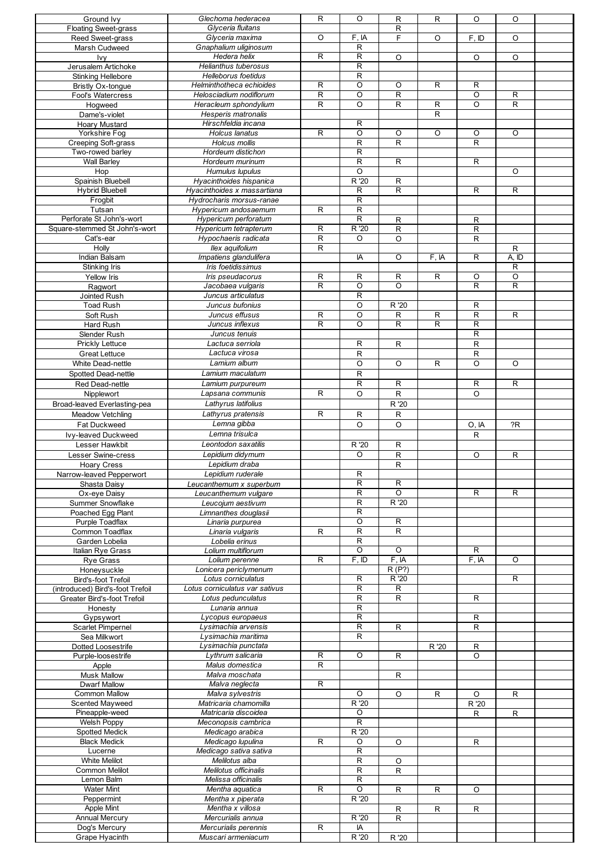| Ground Ivy                       | Glechoma hederacea             | R           | O                       | R              | R              | O            | O              |  |
|----------------------------------|--------------------------------|-------------|-------------------------|----------------|----------------|--------------|----------------|--|
| <b>Floating Sweet-grass</b>      | Glyceria fluitans              |             |                         | R              |                |              |                |  |
| Reed Sweet-grass                 | Glyceria maxima                | O           | F, IA                   | F              | O              | F, ID        | O              |  |
| Marsh Cudweed                    | Gnaphalium uliginosum          |             | $\mathsf{R}$            |                |                |              |                |  |
|                                  | Hedera helix                   | R           | $\overline{\mathsf{R}}$ |                |                |              |                |  |
| Ivy                              |                                |             |                         | $\circ$        |                | O            | O              |  |
| Jerusalem Artichoke              | <b>Helianthus tuberosus</b>    |             | $\mathsf{R}$            |                |                |              |                |  |
| <b>Stinking Hellebore</b>        | Helleborus foetidus            |             | $\mathsf{R}$            |                |                |              |                |  |
| <b>Bristly Ox-tongue</b>         | Helminthotheca echioides       | R           | O                       | O              | R              | R            |                |  |
| Fool's Watercress                | Helosciadium nodiflorum        | R           | O                       | R              |                | O            | R              |  |
| Hogweed                          | Heracleum sphondylium          | $\mathsf R$ | O                       | R              | $\overline{R}$ | O            | $\overline{R}$ |  |
| Dame's-violet                    | Hesperis matronalis            |             |                         |                | $\overline{R}$ |              |                |  |
| <b>Hoary Mustard</b>             | Hirschfeldia incana            |             | R                       |                |                |              |                |  |
| Yorkshire Fog                    | Holcus lanatus                 | R           | $\overline{O}$          | $\circ$        | O              | O            | O              |  |
| Creeping Soft-grass              | Holcus mollis                  |             | $\mathsf{R}$            | R              |                | R            |                |  |
| Two-rowed barley                 | Hordeum distichon              |             | $\mathsf{R}$            |                |                |              |                |  |
|                                  | Hordeum murinum                |             |                         |                |                |              |                |  |
| <b>Wall Barley</b>               |                                |             | $\mathsf{R}$            | $\overline{R}$ |                | R            |                |  |
| Hop                              | Humulus lupulus                |             | $\circ$                 |                |                |              | O              |  |
| Spainish Bluebell                | Hyacinthoides hispanica        |             | R '20                   | R              |                |              |                |  |
| <b>Hybrid Bluebell</b>           | Hyacinthoides x massartiana    |             | R                       | $\mathsf R$    |                | R            | R              |  |
| Frogbit                          | Hydrocharis morsus-ranae       |             | $\overline{R}$          |                |                |              |                |  |
| Tutsan                           | Hypericum andosaemum           | R           | $\overline{R}$          |                |                |              |                |  |
| Perforate St John's-wort         | Hypericum perforatum           |             | $\mathsf{R}$            | R              |                | $\mathsf{R}$ |                |  |
| Square-stemmed St John's-wort    | Hypericum tetrapterum          | $\mathsf R$ | R '20                   | ${\sf R}$      |                | ${\sf R}$    |                |  |
| Cat's-ear                        | Hypochaeris radicata           | R           | O                       | $\circ$        |                | $\mathsf{R}$ |                |  |
| Holly                            | Ilex aquifolium                | R           |                         |                |                |              | R              |  |
| Indian Balsam                    | Impatiens glandulifera         |             | IA                      | $\circ$        | F, IA          | R            | A, ID          |  |
| Stinking Iris                    | Iris foetidissimus             |             |                         |                |                |              | $\overline{R}$ |  |
| Yellow Iris                      | Iris pseudacorus               | R           | R                       | R              | R              | O            | O              |  |
| Ragwort                          | Jacobaea vulgaris              | $\mathsf R$ | O                       | $\overline{O}$ |                | $\mathsf{R}$ | R              |  |
|                                  |                                |             | $\mathsf{R}$            |                |                |              |                |  |
| Jointed Rush                     | Juncus articulatus             |             |                         |                |                |              |                |  |
| <b>Toad Rush</b>                 | Juncus bufonius                |             | O                       | R '20          |                | $\mathsf{R}$ |                |  |
| Soft Rush                        | Juncus effusus                 | $\mathsf R$ | O                       | R              | $\mathsf R$    | R            | R              |  |
| Hard Rush                        | Juncus inflexus                | $\mathsf R$ | O                       | $\mathsf R$    | $\mathsf R$    | $\mathsf{R}$ |                |  |
| Slender Rush                     | Juncus tenuis                  |             |                         |                |                | R            |                |  |
| Prickly Lettuce                  | Lactuca serriola               |             | R                       | R              |                | $\mathsf{R}$ |                |  |
| <b>Great Lettuce</b>             | Lactuca virosa                 |             | $\mathsf{R}$            |                |                | R            |                |  |
| <b>White Dead-nettle</b>         | Lamium album                   |             | O                       | O              | R              | O            | O              |  |
| <b>Spotted Dead-nettle</b>       | Lamium maculatum               |             | ${\sf R}$               |                |                |              |                |  |
| Red Dead-nettle                  | Lamium purpureum               |             | $\overline{R}$          | $\overline{R}$ |                | R            | R              |  |
| Nipplewort                       | Lapsana communis               | R           | O                       | $\mathsf R$    |                | O            |                |  |
| Broad-leaved Everlasting-pea     | Lathyrus latifolius            |             |                         | R '20          |                |              |                |  |
| <b>Meadow Vetchling</b>          | Lathyrus pratensis             | R           | R                       | R              |                |              |                |  |
| Fat Duckweed                     | Lemna gibba                    |             | O                       | O              |                | O, IA        | ?R             |  |
| Ivy-leaved Duckweed              | Lemna trisulca                 |             |                         |                |                | R            |                |  |
| Lesser Hawkbit                   | Leontodon saxatilis            |             | R '20                   | $\mathsf{R}$   |                |              |                |  |
| <b>Lesser Swine-cress</b>        | Lepidium didymum               |             | O                       |                |                |              |                |  |
|                                  |                                |             |                         | ${\sf R}$      |                | O            | $\mathsf{R}$   |  |
| <b>Hoary Cress</b>               | Lepidium draba                 |             |                         | R              |                |              |                |  |
| Narrow-leaved Pepperwort         | Lepidium ruderale              |             | R                       |                |                |              |                |  |
| Shasta Daisy                     | Leucanthemum x superbum        |             | R                       | R              |                |              |                |  |
| Ox-eye Daisy                     | Leucanthemum vulgare           |             | R                       | O              |                | R            | R              |  |
| Summer Snowflake                 | Leucojum aestivum              |             | $\overline{R}$          | R'20           |                |              |                |  |
| Poached Egg Plant                | Limnanthes douglasii           |             | $\mathsf{R}$            |                |                |              |                |  |
| Purple Toadflax                  | Linaria purpurea               |             | O                       | $\mathsf{R}$   |                |              |                |  |
| Common Toadflax                  | Linaria vulgaris               | R           | $\mathsf{R}$            | $\mathsf R$    |                |              |                |  |
| Garden Lobelia                   | Lobelia erinus                 |             | $\mathsf{R}$            |                |                |              |                |  |
| <b>Italian Rye Grass</b>         | Lolium multiflorum             |             | $\circ$                 | $\circ$        |                | R            |                |  |
| <b>Rye Grass</b>                 | Lolium perenne                 | R           | F, ID                   | F, IA          |                | F, IA        | O              |  |
| Honeysuckle                      | Lonicera periclymenum          |             |                         | R(P?)          |                |              |                |  |
| Bird's-foot Trefoil              | Lotus corniculatus             |             | R                       | R '20          |                |              | R              |  |
| (introduced) Bird's-foot Trefoil | Lotus corniculatus var sativus |             | R                       | R              |                |              |                |  |
| Greater Bird's-foot Trefoil      | Lotus pedunculatus             |             | R                       | $\mathsf R$    |                | R            |                |  |
| Honesty                          | Lunaria annua                  |             | $\mathsf{R}$            |                |                |              |                |  |
| Gypsywort                        | Lycopus europaeus              |             | $\mathsf{R}$            |                |                | R            |                |  |
| Scarlet Pimpernel                | Lysimachia arvensis            |             | R                       | R              |                | R            |                |  |
| Sea Milkwort                     | Lysimachia maritima            |             | R                       |                |                |              |                |  |
| <b>Dotted Loosestrife</b>        | Lysimachia punctata            |             |                         |                | R '20          | R            |                |  |
| Purple-loosestrife               | Lythrum salicaria              | R           | O                       | R              |                | O            |                |  |
| Apple                            | Malus domestica                | R           |                         |                |                |              |                |  |
| <b>Musk Mallow</b>               | Malva moschata                 |             |                         | R              |                |              |                |  |
| <b>Dwarf Mallow</b>              | Malva neglecta                 | R           |                         |                |                |              |                |  |
| <b>Common Mallow</b>             | Malva sylvestris               |             | O                       | O              | R              | O            | R              |  |
| <b>Scented Mayweed</b>           | Matricaria chamomilla          |             | R '20                   |                |                | R '20        |                |  |
| Pineapple-weed                   | Matricaria discoidea           |             | O                       |                |                | R            | R              |  |
| Welsh Poppy                      | Meconopsis cambrica            |             | $\overline{R}$          |                |                |              |                |  |
| <b>Spotted Medick</b>            | Medicago arabica               |             | R '20                   |                |                |              |                |  |
| <b>Black Medick</b>              | Medicago lupulina              | R           | O                       | O              |                | $\mathsf{R}$ |                |  |
| Lucerne                          | Medicago sativa sativa         |             | $\mathsf{R}$            |                |                |              |                |  |
| <b>White Melilot</b>             | Melilotus alba                 |             | $\mathsf{R}$            | $\circ$        |                |              |                |  |
| Common Melilot                   | Melilotus officinalis          |             | $\mathsf{R}$            | R              |                |              |                |  |
| Lemon Balm                       | Melissa officinalis            |             | R                       |                |                |              |                |  |
| <b>Water Mint</b>                | Mentha aquatica                | R           | O                       | R              | R              | O            |                |  |
| Peppermint                       | Mentha x piperata              |             | R '20                   |                |                |              |                |  |
| Apple Mint                       | Mentha x villosa               |             |                         | $\mathsf{R}$   | R              | R            |                |  |
| <b>Annual Mercury</b>            | Mercurialis annua              |             | R '20                   | $\mathsf R$    |                |              |                |  |
|                                  |                                | $\mathsf R$ | IA                      |                |                |              |                |  |
| Dog's Mercury                    | Mercurialis perennis           |             | R '20                   |                |                |              |                |  |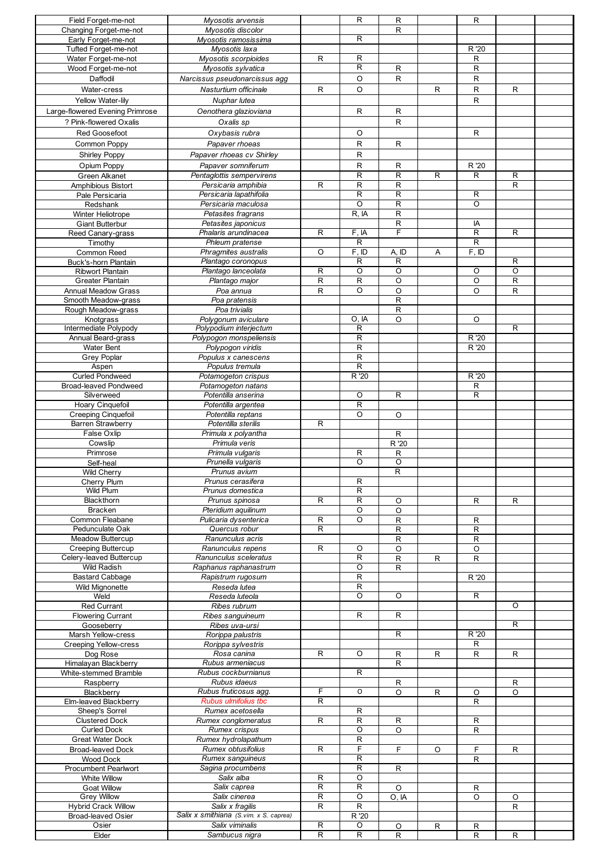| Field Forget-me-not             |                                        |                     |                         |                  |              |             |                |  |
|---------------------------------|----------------------------------------|---------------------|-------------------------|------------------|--------------|-------------|----------------|--|
|                                 | Myosotis arvensis                      |                     | R                       | $\mathsf{R}$     |              | R           |                |  |
| Changing Forget-me-not          | Myosotis discolor                      |                     |                         | R                |              |             |                |  |
|                                 |                                        |                     | R                       |                  |              |             |                |  |
| Early Forget-me-not             | Myosotis ramosissima                   |                     |                         |                  |              |             |                |  |
| Tufted Forget-me-not            | Mvosotis laxa                          |                     |                         |                  |              | R '20       |                |  |
|                                 |                                        | R                   | R                       |                  |              | $\mathsf R$ |                |  |
| Water Forget-me-not             | Myosotis scorpioides                   |                     |                         |                  |              |             |                |  |
| Wood Forget-me-not              | Myosotis sylvatica                     |                     | R                       | R                |              | R           |                |  |
| Daffodil                        | Narcissus pseudonarcissus agg          |                     | O                       | R                |              | R           |                |  |
|                                 |                                        |                     |                         |                  |              |             |                |  |
| Water-cress                     | Nasturtium officinale                  | R                   | O                       |                  | $\mathsf{R}$ | R           | $\mathsf{R}$   |  |
|                                 |                                        |                     |                         |                  |              |             |                |  |
| Yellow Water-lily               | Nuphar lutea                           |                     |                         |                  |              | R           |                |  |
| Large-flowered Evening Primrose | Oenothera glazioviana                  |                     | R                       | $\mathsf{R}$     |              |             |                |  |
|                                 |                                        |                     |                         |                  |              |             |                |  |
| ? Pink-flowered Oxalis          | Oxalis sp                              |                     |                         | $\mathsf{R}$     |              |             |                |  |
|                                 |                                        |                     |                         |                  |              |             |                |  |
| Red Goosefoot                   | Oxybasis rubra                         |                     | O                       |                  |              | R           |                |  |
| Common Poppy                    | Papaver rhoeas                         |                     | R                       | $\mathsf{R}$     |              |             |                |  |
|                                 |                                        |                     |                         |                  |              |             |                |  |
| <b>Shirley Poppy</b>            | Papaver rhoeas cv Shirley              |                     | R                       |                  |              |             |                |  |
|                                 |                                        |                     |                         |                  |              |             |                |  |
| Opium Poppy                     | Papaver somniferum                     |                     | R                       | $\mathsf{R}$     |              | R '20       |                |  |
| Green Alkanet                   | Pentaglottis sempervirens              |                     | R                       | $\overline{R}$   | R            | R           | R              |  |
|                                 | Persicaria amphibia                    | R                   | R                       | $\mathsf{R}$     |              |             | R              |  |
| Amphibious Bistort              |                                        |                     |                         |                  |              |             |                |  |
| Pale Persicaria                 | Persicaria lapathifolia                |                     | R                       | R                |              | R           |                |  |
| Redshank                        | Persicaria maculosa                    |                     | O                       | $\overline{R}$   |              | $\circ$     |                |  |
|                                 |                                        |                     |                         |                  |              |             |                |  |
| Winter Heliotrope               | Petasites fragrans                     |                     | R, IA                   | $\overline{R}$   |              |             |                |  |
| <b>Giant Butterbur</b>          | Petasites japonicus                    |                     |                         | R                |              | IA          |                |  |
|                                 |                                        |                     |                         |                  |              |             |                |  |
| Reed Canary-grass               | Phalaris arundinacea                   | R                   | F, IA                   | F                |              | R           | R              |  |
| Timothy                         | Phleum pratense                        |                     | R                       |                  |              | R           |                |  |
|                                 |                                        |                     |                         |                  |              |             |                |  |
| Common Reed                     | Phragmites australis                   | O                   | F, ID                   | A, ID            | Α            | F, ID       |                |  |
| <b>Buck's-horn Plantain</b>     | Plantago coronopus                     |                     | R                       | R                |              |             | R              |  |
|                                 |                                        |                     |                         |                  |              |             |                |  |
| <b>Ribwort Plantain</b>         | Plantago lanceolata                    | R                   | O                       | O                |              | O           | O              |  |
| <b>Greater Plantain</b>         | Plantago major                         | $\mathsf R$         | $\overline{R}$          | O                |              | O           | $\overline{R}$ |  |
|                                 |                                        |                     |                         |                  |              |             |                |  |
| <b>Annual Meadow Grass</b>      | Poa annua                              | R                   | $\circ$                 | O                |              | O           | R              |  |
| Smooth Meadow-grass             | Poa pratensis                          |                     |                         | $\mathsf{R}$     |              |             |                |  |
|                                 |                                        |                     |                         |                  |              |             |                |  |
| Rough Meadow-grass              | Poa trivialis                          |                     |                         | $\mathsf{R}$     |              |             |                |  |
| Knotgrass                       | Polygonum aviculare                    |                     | O, IA                   | O                |              | O           |                |  |
|                                 |                                        |                     | R                       |                  |              |             |                |  |
| Intermediate Polypody           | Polypodium interjectum                 |                     |                         |                  |              |             | R              |  |
| Annual Beard-grass              | Polypogon monspeliensis                |                     | R                       |                  |              | R '20       |                |  |
|                                 |                                        |                     | R                       |                  |              | R '20       |                |  |
| <b>Water Bent</b>               | Polypogon viridis                      |                     |                         |                  |              |             |                |  |
| <b>Grey Poplar</b>              | Populus x canescens                    |                     | R                       |                  |              |             |                |  |
| Aspen                           | Populus tremula                        |                     | $\overline{\mathsf{R}}$ |                  |              |             |                |  |
|                                 |                                        |                     |                         |                  |              |             |                |  |
| <b>Curled Pondweed</b>          | Potamogeton crispus                    |                     | R '20                   |                  |              | R '20       |                |  |
| <b>Broad-leaved Pondweed</b>    | Potamogeton natans                     |                     |                         |                  |              | R           |                |  |
|                                 |                                        |                     |                         |                  |              |             |                |  |
| Silverweed                      | Potentilla anserina                    |                     | O                       | R                |              | R           |                |  |
| Hoary Cinquefoil                | Potentilla argentea                    |                     | R                       |                  |              |             |                |  |
|                                 |                                        |                     |                         |                  |              |             |                |  |
| <b>Creeping Cinquefoil</b>      | Potentilla reptans                     |                     | O                       | O                |              |             |                |  |
| <b>Barren Strawberry</b>        | Potentilla sterilis                    | R                   |                         |                  |              |             |                |  |
| False Oxlip                     | Primula x polyantha                    |                     |                         | $\mathsf{R}$     |              |             |                |  |
|                                 |                                        |                     |                         |                  |              |             |                |  |
| Cowslip                         | Primula veris                          |                     |                         | R '20            |              |             |                |  |
|                                 |                                        |                     |                         |                  |              |             |                |  |
|                                 |                                        |                     |                         |                  |              |             |                |  |
| Primrose                        | Primula vulgaris                       |                     | R                       | R                |              |             |                |  |
|                                 | Prunella vulgaris                      |                     | $\circ$                 | O                |              |             |                |  |
| Self-heal                       |                                        |                     |                         |                  |              |             |                |  |
| Wild Cherry                     | Prunus avium                           |                     |                         | R                |              |             |                |  |
| Cherry Plum                     | Prunus cerasifera                      |                     | R                       |                  |              |             |                |  |
|                                 |                                        |                     |                         |                  |              |             |                |  |
| Wild Plum                       | Prunus domestica                       |                     | R                       |                  |              |             |                |  |
| Blackthorn                      | Prunus spinosa                         | R                   | R                       | O                |              | R           | R              |  |
|                                 |                                        |                     |                         |                  |              |             |                |  |
| <b>Bracken</b>                  | Pteridium aquilinum                    |                     | O                       | O                |              |             |                |  |
| Common Fleabane                 | Pulicaria dysenterica                  | R                   | O                       | R                |              | R           |                |  |
|                                 |                                        |                     |                         |                  |              |             |                |  |
| Pedunculate Oak                 | Quercus robur                          | R                   |                         | R                |              | R           |                |  |
| <b>Meadow Buttercup</b>         | Ranunculus acris                       |                     |                         | R                |              | R           |                |  |
|                                 |                                        |                     |                         |                  |              |             |                |  |
| <b>Creeping Buttercup</b>       | Ranunculus repens                      | R                   | O                       | O                |              | O           |                |  |
| Celery-leaved Buttercup         | Ranunculus sceleratus                  |                     | $\overline{\mathsf{R}}$ | R                | R            | R           |                |  |
| Wild Radish                     | Raphanus raphanastrum                  |                     | O                       |                  |              |             |                |  |
|                                 |                                        |                     |                         | R                |              |             |                |  |
| <b>Bastard Cabbage</b>          | Rapistrum rugosum                      |                     | R                       |                  |              | R '20       |                |  |
| <b>Wild Mignonette</b>          | Reseda lutea                           |                     | R                       |                  |              |             |                |  |
|                                 |                                        |                     |                         |                  |              |             |                |  |
| Weld                            | Reseda luteola                         |                     | O                       | O                |              | R           |                |  |
| Red Currant                     | Ribes rubrum                           |                     |                         |                  |              |             | O              |  |
|                                 |                                        |                     |                         |                  |              |             |                |  |
| <b>Flowering Currant</b>        | Ribes sanguineum                       |                     | R                       | $\overline{R}$   |              |             |                |  |
| Gooseberry                      | Ribes uva-ursi                         |                     |                         |                  |              |             | R              |  |
|                                 |                                        |                     |                         | $\overline{R}$   |              | R '20       |                |  |
| Marsh Yellow-cress              | Rorippa palustris                      |                     |                         |                  |              |             |                |  |
| <b>Creeping Yellow-cress</b>    | Rorippa sylvestris                     |                     |                         |                  |              | R           |                |  |
| Dog Rose                        | Rosa canina                            | R                   | O                       | R                | $\mathsf{R}$ | R           | $\mathsf{R}$   |  |
|                                 |                                        |                     |                         |                  |              |             |                |  |
| Himalayan Blackberry            | Rubus armeniacus                       |                     |                         | R                |              |             |                |  |
| White-stemmed Bramble           | Rubus cockburnianus                    |                     | R                       |                  |              |             |                |  |
|                                 |                                        |                     |                         |                  |              |             |                |  |
| Raspberry                       | Rubus idaeus                           |                     |                         | R                |              |             | R              |  |
| Blackberry                      | Rubus fruticosus agg.                  | F                   | O                       | O                | $\mathsf{R}$ | O           | O              |  |
|                                 |                                        | R                   |                         |                  |              |             |                |  |
| Elm-leaved Blackberry           | Rubus ulmifolius tbc                   |                     |                         |                  |              | R           |                |  |
| Sheep's Sorrel                  | Rumex acetosella                       |                     | R                       |                  |              |             |                |  |
| <b>Clustered Dock</b>           | Rumex conglomeratus                    | R                   | R                       | R                |              | R           |                |  |
|                                 |                                        |                     |                         |                  |              |             |                |  |
| <b>Curled Dock</b>              | Rumex crispus                          |                     | O                       | O                |              | ${\sf R}$   |                |  |
| <b>Great Water Dock</b>         | Rumex hydrolapathum                    |                     | R                       |                  |              |             |                |  |
|                                 |                                        |                     |                         |                  |              |             |                |  |
| Broad-leaved Dock               | Rumex obtusifolius                     | R                   | F                       | F                | O            | F           | R              |  |
| <b>Wood Dock</b>                | Rumex sanguineus                       |                     | R                       |                  |              | R           |                |  |
|                                 |                                        |                     |                         |                  |              |             |                |  |
| <b>Procumbent Pearlwort</b>     | Sagina procumbens                      |                     | R                       | R                |              |             |                |  |
| <b>White Willow</b>             | Salix alba                             | R                   | O                       |                  |              |             |                |  |
|                                 |                                        |                     |                         |                  |              |             |                |  |
| <b>Goat Willow</b>              | Salix caprea                           | R                   | R                       | O                |              | R           |                |  |
| <b>Grey Willow</b>              | Salix cinerea                          | R                   | O                       | O, IA            |              | O           | O              |  |
|                                 |                                        |                     |                         |                  |              |             |                |  |
| <b>Hybrid Crack Willow</b>      | Salix x fragilis                       | R                   | $\mathsf R$             |                  |              |             | R              |  |
| <b>Broad-leaved Osier</b>       | Salix x smithiana (S.vim. x S. caprea) |                     | R '20                   |                  |              |             |                |  |
| Osier                           | Salix viminalis                        |                     | O                       |                  |              |             |                |  |
| Elder                           | Sambucus nigra                         | R<br>$\overline{R}$ | $\overline{R}$          | O<br>$\mathsf R$ | R            | R<br>R      | R              |  |